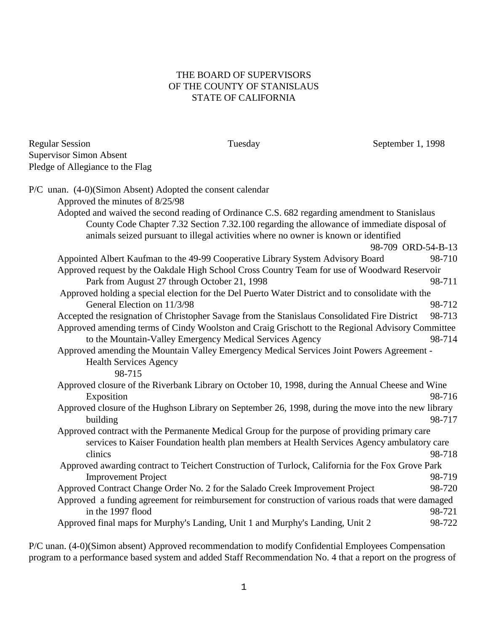## THE BOARD OF SUPERVISORS OF THE COUNTY OF STANISLAUS STATE OF CALIFORNIA

| <b>Regular Session</b>           | Tuesday | September 1, 1998 |
|----------------------------------|---------|-------------------|
| Supervisor Simon Absent          |         |                   |
| Pledge of Allegiance to the Flag |         |                   |

| P/C unan. (4-0)(Simon Absent) Adopted the consent calendar                                          |        |
|-----------------------------------------------------------------------------------------------------|--------|
| Approved the minutes of 8/25/98                                                                     |        |
| Adopted and waived the second reading of Ordinance C.S. 682 regarding amendment to Stanislaus       |        |
| County Code Chapter 7.32 Section 7.32.100 regarding the allowance of immediate disposal of          |        |
| animals seized pursuant to illegal activities where no owner is known or identified                 |        |
| 98-709 ORD-54-B-13                                                                                  |        |
| Appointed Albert Kaufman to the 49-99 Cooperative Library System Advisory Board                     | 98-710 |
| Approved request by the Oakdale High School Cross Country Team for use of Woodward Reservoir        |        |
| Park from August 27 through October 21, 1998                                                        | 98-711 |
| Approved holding a special election for the Del Puerto Water District and to consolidate with the   |        |
| General Election on 11/3/98                                                                         | 98-712 |
| Accepted the resignation of Christopher Savage from the Stanislaus Consolidated Fire District       | 98-713 |
| Approved amending terms of Cindy Woolston and Craig Grischott to the Regional Advisory Committee    |        |
| to the Mountain-Valley Emergency Medical Services Agency                                            | 98-714 |
| Approved amending the Mountain Valley Emergency Medical Services Joint Powers Agreement -           |        |
| <b>Health Services Agency</b>                                                                       |        |
| 98-715                                                                                              |        |
| Approved closure of the Riverbank Library on October 10, 1998, during the Annual Cheese and Wine    |        |
| Exposition                                                                                          | 98-716 |
| Approved closure of the Hughson Library on September 26, 1998, during the move into the new library |        |
| building                                                                                            | 98-717 |
| Approved contract with the Permanente Medical Group for the purpose of providing primary care       |        |
| services to Kaiser Foundation health plan members at Health Services Agency ambulatory care         |        |
| clinics                                                                                             | 98-718 |
| Approved awarding contract to Teichert Construction of Turlock, California for the Fox Grove Park   |        |
| <b>Improvement Project</b>                                                                          | 98-719 |
| Approved Contract Change Order No. 2 for the Salado Creek Improvement Project                       | 98-720 |
| Approved a funding agreement for reimbursement for construction of various roads that were damaged  |        |
| in the 1997 flood                                                                                   | 98-721 |
| Approved final maps for Murphy's Landing, Unit 1 and Murphy's Landing, Unit 2                       | 98-722 |
|                                                                                                     |        |

P/C unan. (4-0)(Simon absent) Approved recommendation to modify Confidential Employees Compensation program to a performance based system and added Staff Recommendation No. 4 that a report on the progress of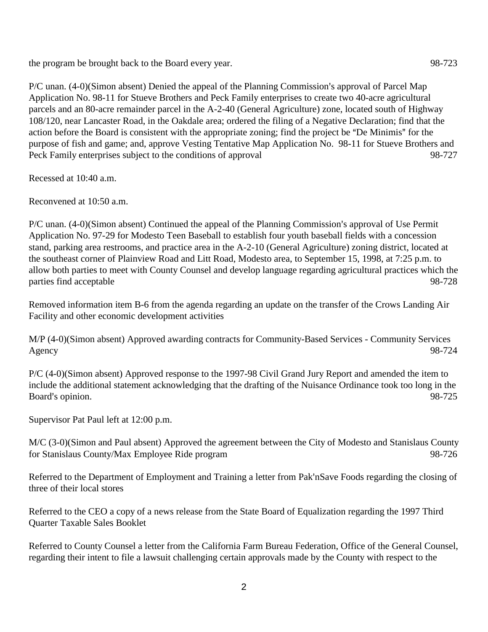the program be brought back to the Board every year. 98-723

 $P/C$  unan.  $(4-0)$ (Simon absent) Denied the appeal of the Planning Commission's approval of Parcel Map Application No. 98-11 for Stueve Brothers and Peck Family enterprises to create two 40-acre agricultural parcels and an 80-acre remainder parcel in the A-2-40 (General Agriculture) zone, located south of Highway 108/120, near Lancaster Road, in the Oakdale area; ordered the filing of a Negative Declaration; find that the action before the Board is consistent with the appropriate zoning; find the project be "De Minimis" for the purpose of fish and game; and, approve Vesting Tentative Map Application No. 98-11 for Stueve Brothers and Peck Family enterprises subject to the conditions of approval 98-727

Recessed at 10:40 a.m.

Reconvened at 10:50 a.m.

 $P/C$  unan.  $(4-0)$ (Simon absent) Continued the appeal of the Planning Commission's approval of Use Permit Application No. 97-29 for Modesto Teen Baseball to establish four youth baseball fields with a concession stand, parking area restrooms, and practice area in the A-2-10 (General Agriculture) zoning district, located at the southeast corner of Plainview Road and Litt Road, Modesto area, to September 15, 1998, at 7:25 p.m. to allow both parties to meet with County Counsel and develop language regarding agricultural practices which the parties find acceptable 98-728

Removed information item B-6 from the agenda regarding an update on the transfer of the Crows Landing Air Facility and other economic development activities

M/P (4-0)(Simon absent) Approved awarding contracts for Community-Based Services - Community Services Agency 98-724

P/C (4-0)(Simon absent) Approved response to the 1997-98 Civil Grand Jury Report and amended the item to include the additional statement acknowledging that the drafting of the Nuisance Ordinance took too long in the Board's opinion. 98-725

Supervisor Pat Paul left at 12:00 p.m.

M/C (3-0)(Simon and Paul absent) Approved the agreement between the City of Modesto and Stanislaus County for Stanislaus County/Max Employee Ride program 98-726

Referred to the Department of Employment and Training a letter from Pak'nSave Foods regarding the closing of three of their local stores

Referred to the CEO a copy of a news release from the State Board of Equalization regarding the 1997 Third Quarter Taxable Sales Booklet

Referred to County Counsel a letter from the California Farm Bureau Federation, Office of the General Counsel, regarding their intent to file a lawsuit challenging certain approvals made by the County with respect to the